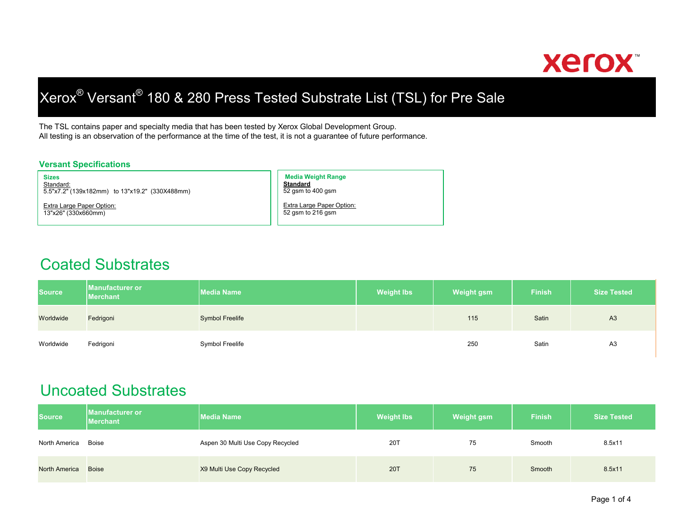

# Xerox® Versant® 180 & 280 Press Tested Substrate List (TSL) for Pre Sale

The TSL contains paper and specialty media that has been tested by Xerox Global Development Group. All testing is an observation of the performance at the time of the test, it is not a guarantee of future performance.

#### **Versant Specifications**

**Sizes**<mark>Standard:</mark><br>5.5"x7.2" (139x182mm) to 13"x19.2" (330X488mm)

Extra Large Paper Option: 13"x26" (330x660mm)

**Media Weight Range Standard**52 gsm to 400 gsm

Extra Large Paper Option: 52 gsm to 216 gsm

#### Coated Substrates

| <b>Source</b> | <b>Manufacturer or</b><br><b>Merchant</b> | <b>Media Name</b>      | <b>Weight lbs</b> | <b>Weight gsm</b> | <b>Finish</b> | <b>Size Tested</b> |
|---------------|-------------------------------------------|------------------------|-------------------|-------------------|---------------|--------------------|
| Worldwide     | Fedrigoni                                 | <b>Symbol Freelife</b> |                   | 115               | Satin         | A <sub>3</sub>     |
| Worldwide     | Fedrigoni                                 | Symbol Freelife        |                   | 250               | Satin         | A <sub>3</sub>     |

### Uncoated Substrates

| <b>Source</b>        | <b>IManufacturer or</b><br><b>Merchant</b> | <b>Media Name</b>                | <b>Weight lbs</b> | <b>Weight gsm</b> | <b>Finish</b> | <b>Size Tested</b> |
|----------------------|--------------------------------------------|----------------------------------|-------------------|-------------------|---------------|--------------------|
| North America        | Boise                                      | Aspen 30 Multi Use Copy Recycled | 20T               | 75                | Smooth        | 8.5x11             |
| <b>North America</b> | <b>Boise</b>                               | X9 Multi Use Copy Recycled       | <b>20T</b>        | 75                | Smooth        | 8.5x11             |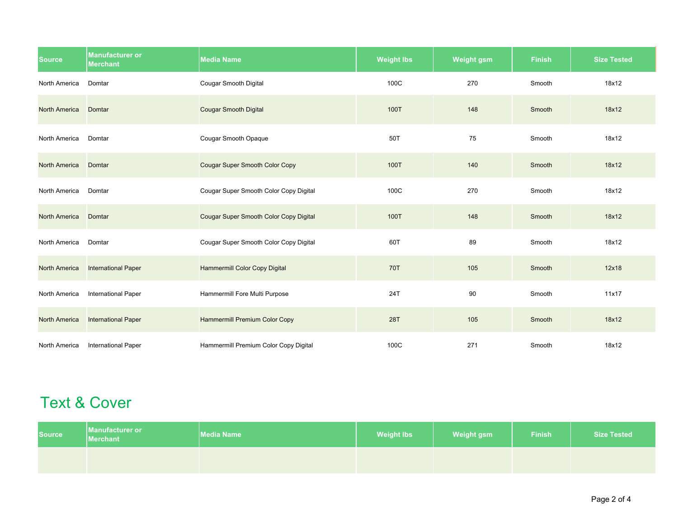| <b>Source</b>        | <b>Manufacturer or</b><br><b>Merchant</b> | <b>Media Name</b>                             | <b>Weight lbs</b> | <b>Weight gsm</b> | <b>Finish</b> | <b>Size Tested</b> |
|----------------------|-------------------------------------------|-----------------------------------------------|-------------------|-------------------|---------------|--------------------|
| North America        | Domtar                                    | <b>Cougar Smooth Digital</b>                  | 100C              | 270               | Smooth        | 18x12              |
| <b>North America</b> | Domtar                                    | <b>Cougar Smooth Digital</b>                  | 100T              | 148               | Smooth        | 18x12              |
| North America        | Domtar                                    | Cougar Smooth Opaque                          | 50T               | 75                | Smooth        | 18x12              |
| <b>North America</b> | Domtar                                    | <b>Cougar Super Smooth Color Copy</b>         | 100T              | 140               | Smooth        | 18x12              |
| North America        | Domtar                                    | Cougar Super Smooth Color Copy Digital        | 100C              | 270               | Smooth        | 18x12              |
| <b>North America</b> | Domtar                                    | <b>Cougar Super Smooth Color Copy Digital</b> | 100T              | 148               | Smooth        | 18x12              |
| North America        | Domtar                                    | Cougar Super Smooth Color Copy Digital        | 60T               | 89                | Smooth        | 18x12              |
| <b>North America</b> | <b>International Paper</b>                | <b>Hammermill Color Copy Digital</b>          | <b>70T</b>        | 105               | Smooth        | 12x18              |
| North America        | <b>International Paper</b>                | Hammermill Fore Multi Purpose                 | 24T               | 90                | Smooth        | 11x17              |
| <b>North America</b> | <b>International Paper</b>                | <b>Hammermill Premium Color Copy</b>          | 28T               | 105               | Smooth        | 18x12              |
| North America        | <b>International Paper</b>                | Hammermill Premium Color Copy Digital         | 100C              | 271               | Smooth        | 18x12              |

## Text & Cover

| <b>Source</b> | Manufacturer or<br><b>Merchant</b> | <b>Media Name</b> | <b>Weight lbs</b> | <b>Weight gsm</b> | <b>Finish</b> | <b>Size Tested</b> |
|---------------|------------------------------------|-------------------|-------------------|-------------------|---------------|--------------------|
|               |                                    |                   |                   |                   |               |                    |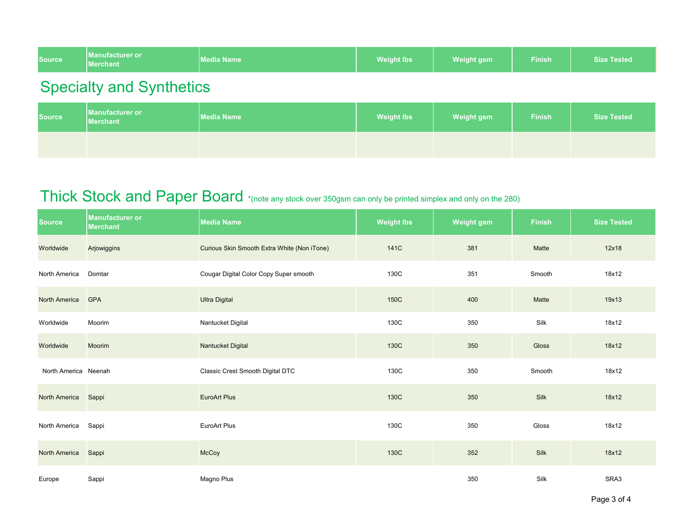| <b>Source</b> | <b>IManufacturer or</b><br>Merchant <sup>1</sup> | <b>Media Name</b> | <b>Weight lbs</b> | <b>Weight gsm</b> | ${\sf Finish}'$ | <b>Size Tested</b> |
|---------------|--------------------------------------------------|-------------------|-------------------|-------------------|-----------------|--------------------|
|---------------|--------------------------------------------------|-------------------|-------------------|-------------------|-----------------|--------------------|

## Specialty and Synthetics

| <b>Source</b> | Manufacturer or<br><b>Merchant</b> | <b>Media Name</b> | <b>Weight lbs</b> | <b>Weight gsm</b> | <b>Finish</b> | <b>Size Tested</b> |
|---------------|------------------------------------|-------------------|-------------------|-------------------|---------------|--------------------|
|               |                                    |                   |                   |                   |               |                    |

## Thick Stock and Paper Board \*(note any stock over 350gsm can only be printed simplex and only on the 280)

| <b>Source</b>        | <b>Manufacturer or</b><br><b>Merchant</b> | <b>Media Name</b>                           | <b>Weight lbs</b> | <b>Weight gsm</b> | <b>Finish</b> | <b>Size Tested</b> |
|----------------------|-------------------------------------------|---------------------------------------------|-------------------|-------------------|---------------|--------------------|
| Worldwide            | Arjowiggins                               | Curious Skin Smooth Extra White (Non iTone) | 141C              | 381               | Matte         | 12x18              |
| North America        | Domtar                                    | Cougar Digital Color Copy Super smooth      | 130C              | 351               | Smooth        | 18x12              |
| <b>North America</b> | <b>GPA</b>                                | <b>Ultra Digital</b>                        | 150C              | 400               | Matte         | 19x13              |
| Worldwide            | Moorim                                    | Nantucket Digital                           | 130C              | 350               | Silk          | 18x12              |
| Worldwide            | <b>Moorim</b>                             | <b>Nantucket Digital</b>                    | 130C              | 350               | <b>Gloss</b>  | 18x12              |
| North America Neenah |                                           | Classic Crest Smooth Digital DTC            | 130C              | 350               | Smooth        | 18x12              |
| <b>North America</b> | Sappi                                     | <b>EuroArt Plus</b>                         | 130C              | 350               | Silk          | 18x12              |
| North America        | Sappi                                     | EuroArt Plus                                | 130C              | 350               | Gloss         | 18x12              |
| <b>North America</b> | Sappi                                     | <b>McCoy</b>                                | 130C              | 352               | Silk          | 18x12              |
| Europe               | Sappi                                     | Magno Plus                                  |                   | 350               | Silk          | SRA3               |